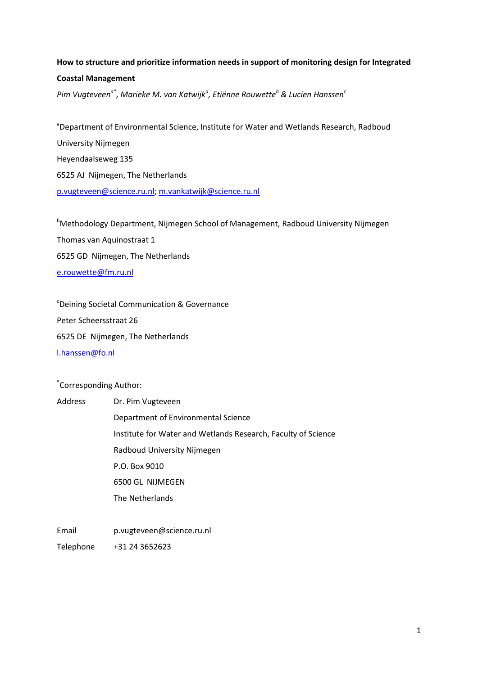# **How to structure and prioritize information needs in support of monitoring design for Integrated Coastal Management** *Pim Vugteveena\*, Marieke M. van Katwijk<sup>a</sup> , Etiënne Rouwette<sup>b</sup> & Lucien Hanssen<sup>c</sup>*

<sup>a</sup>Department of Environmental Science, Institute for Water and Wetlands Research, Radboud University Nijmegen Heyendaalseweg 135 6525 AJ Nijmegen, The Netherlands [p.vugteveen@science.ru.nl;](mailto:p.vugteveen@science.ru.nl) [m.vankatwijk@science.ru.nl](mailto:m.vankatwijk@science.ru.nl)

**b**Methodology Department, Nijmegen School of Management, Radboud University Nijmegen Thomas van Aquinostraat 1 6525 GD Nijmegen, The Netherlands [e.rouwette@fm.ru.nl](mailto:e.rouwette@fm.ru.nl)

<sup>c</sup>Deining Societal Communication & Governance Peter Scheersstraat 26 6525 DE Nijmegen, The Netherlands [l.hanssen@fo.nl](mailto:l.hanssen@fo.nl)

\* Corresponding Author:

| Address | Dr. Pim Vugteveen                                             |
|---------|---------------------------------------------------------------|
|         | Department of Environmental Science                           |
|         | Institute for Water and Wetlands Research, Faculty of Science |
|         | Radboud University Nijmegen                                   |
|         | P.O. Box 9010                                                 |
|         | 6500 GL NIJMEGEN                                              |
|         | The Netherlands                                               |

Email p.vugteveen@science.ru.nl Telephone +31 24 3652623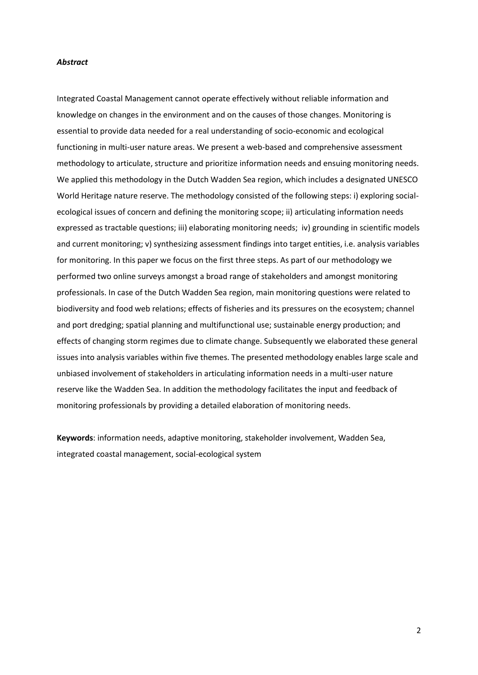# *Abstract*

Integrated Coastal Management cannot operate effectively without reliable information and knowledge on changes in the environment and on the causes of those changes. Monitoring is essential to provide data needed for a real understanding of socio-economic and ecological functioning in multi-user nature areas. We present a web-based and comprehensive assessment methodology to articulate, structure and prioritize information needs and ensuing monitoring needs. We applied this methodology in the Dutch Wadden Sea region, which includes a designated UNESCO World Heritage nature reserve. The methodology consisted of the following steps: i) exploring socialecological issues of concern and defining the monitoring scope; ii) articulating information needs expressed as tractable questions; iii) elaborating monitoring needs; iv) grounding in scientific models and current monitoring; v) synthesizing assessment findings into target entities, i.e. analysis variables for monitoring. In this paper we focus on the first three steps. As part of our methodology we performed two online surveys amongst a broad range of stakeholders and amongst monitoring professionals. In case of the Dutch Wadden Sea region, main monitoring questions were related to biodiversity and food web relations; effects of fisheries and its pressures on the ecosystem; channel and port dredging; spatial planning and multifunctional use; sustainable energy production; and effects of changing storm regimes due to climate change. Subsequently we elaborated these general issues into analysis variables within five themes. The presented methodology enables large scale and unbiased involvement of stakeholders in articulating information needs in a multi-user nature reserve like the Wadden Sea. In addition the methodology facilitates the input and feedback of monitoring professionals by providing a detailed elaboration of monitoring needs.

**Keywords**: information needs, adaptive monitoring, stakeholder involvement, Wadden Sea, integrated coastal management, social-ecological system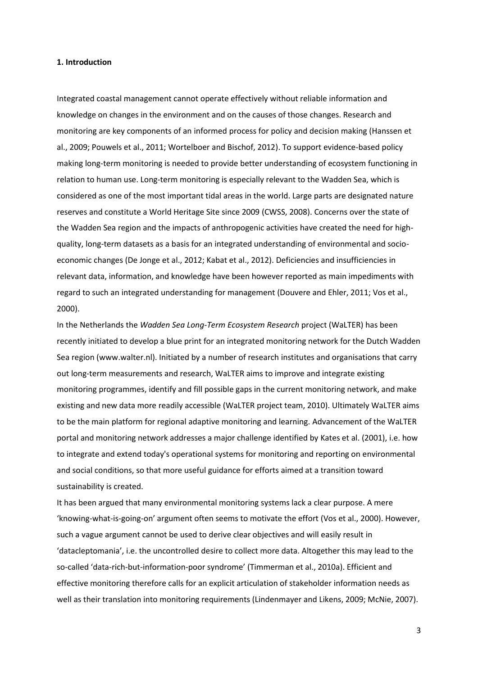## **1. Introduction**

Integrated coastal management cannot operate effectively without reliable information and knowledge on changes in the environment and on the causes of those changes. Research and monitoring are key components of an informed process for policy and decision making (Hanssen et al., 2009; Pouwels et al., 2011; Wortelboer and Bischof, 2012). To support evidence-based policy making long-term monitoring is needed to provide better understanding of ecosystem functioning in relation to human use. Long-term monitoring is especially relevant to the Wadden Sea, which is considered as one of the most important tidal areas in the world. Large parts are designated nature reserves and constitute a World Heritage Site since 2009 (CWSS, 2008). Concerns over the state of the Wadden Sea region and the impacts of anthropogenic activities have created the need for highquality, long-term datasets as a basis for an integrated understanding of environmental and socioeconomic changes (De Jonge et al., 2012; Kabat et al., 2012). Deficiencies and insufficiencies in relevant data, information, and knowledge have been however reported as main impediments with regard to such an integrated understanding for management (Douvere and Ehler, 2011; Vos et al., 2000).

In the Netherlands the *Wadden Sea Long-Term Ecosystem Research* project (WaLTER) has been recently initiated to develop a blue print for an integrated monitoring network for the Dutch Wadden Sea region (www.walter.nl). Initiated by a number of research institutes and organisations that carry out long-term measurements and research, WaLTER aims to improve and integrate existing monitoring programmes, identify and fill possible gaps in the current monitoring network, and make existing and new data more readily accessible (WaLTER project team, 2010). Ultimately WaLTER aims to be the main platform for regional adaptive monitoring and learning. Advancement of the WaLTER portal and monitoring network addresses a major challenge identified by Kates et al. (2001), i.e. how to integrate and extend today's operational systems for monitoring and reporting on environmental and social conditions, so that more useful guidance for efforts aimed at a transition toward sustainability is created.

It has been argued that many environmental monitoring systems lack a clear purpose. A mere 'knowing-what-is-going-on' argument often seems to motivate the effort (Vos et al., 2000). However, such a vague argument cannot be used to derive clear objectives and will easily result in 'datacleptomania', i.e. the uncontrolled desire to collect more data. Altogether this may lead to the so-called 'data-rich-but-information-poor syndrome' (Timmerman et al., 2010a). Efficient and effective monitoring therefore calls for an explicit articulation of stakeholder information needs as well as their translation into monitoring requirements (Lindenmayer and Likens, 2009; McNie, 2007).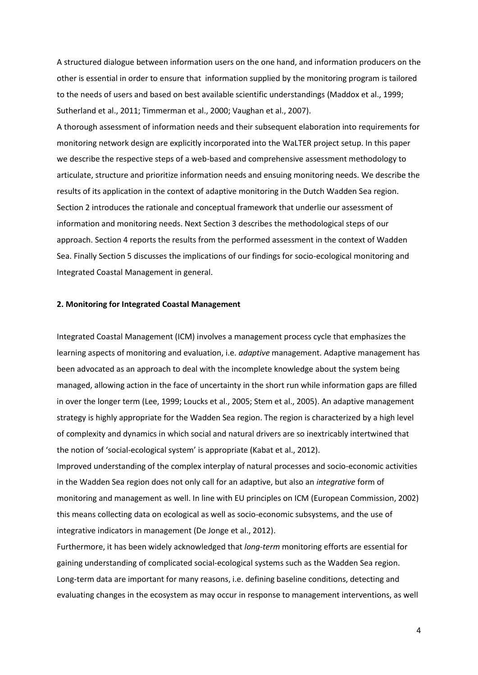A structured dialogue between information users on the one hand, and information producers on the other is essential in order to ensure that information supplied by the monitoring program is tailored to the needs of users and based on best available scientific understandings (Maddox et al., 1999; Sutherland et al., 2011; Timmerman et al., 2000; Vaughan et al., 2007).

A thorough assessment of information needs and their subsequent elaboration into requirements for monitoring network design are explicitly incorporated into the WaLTER project setup. In this paper we describe the respective steps of a web-based and comprehensive assessment methodology to articulate, structure and prioritize information needs and ensuing monitoring needs. We describe the results of its application in the context of adaptive monitoring in the Dutch Wadden Sea region. Section 2 introduces the rationale and conceptual framework that underlie our assessment of information and monitoring needs. Next Section 3 describes the methodological steps of our approach. Section 4 reports the results from the performed assessment in the context of Wadden Sea. Finally Section 5 discusses the implications of our findings for socio-ecological monitoring and Integrated Coastal Management in general.

## **2. Monitoring for Integrated Coastal Management**

Integrated Coastal Management (ICM) involves a management process cycle that emphasizes the learning aspects of monitoring and evaluation, i.e. *adaptive* management. Adaptive management has been advocated as an approach to deal with the incomplete knowledge about the system being managed, allowing action in the face of uncertainty in the short run while information gaps are filled in over the longer term (Lee, 1999; Loucks et al., 2005; Stem et al., 2005). An adaptive management strategy is highly appropriate for the Wadden Sea region. The region is characterized by a high level of complexity and dynamics in which social and natural drivers are so inextricably intertwined that the notion of 'social-ecological system' is appropriate (Kabat et al., 2012).

Improved understanding of the complex interplay of natural processes and socio-economic activities in the Wadden Sea region does not only call for an adaptive, but also an *integrative* form of monitoring and management as well. In line with EU principles on ICM (European Commission, 2002) this means collecting data on ecological as well as socio-economic subsystems, and the use of integrative indicators in management (De Jonge et al., 2012).

Furthermore, it has been widely acknowledged that *long-term* monitoring efforts are essential for gaining understanding of complicated social-ecological systems such as the Wadden Sea region. Long-term data are important for many reasons, i.e. defining baseline conditions, detecting and evaluating changes in the ecosystem as may occur in response to management interventions, as well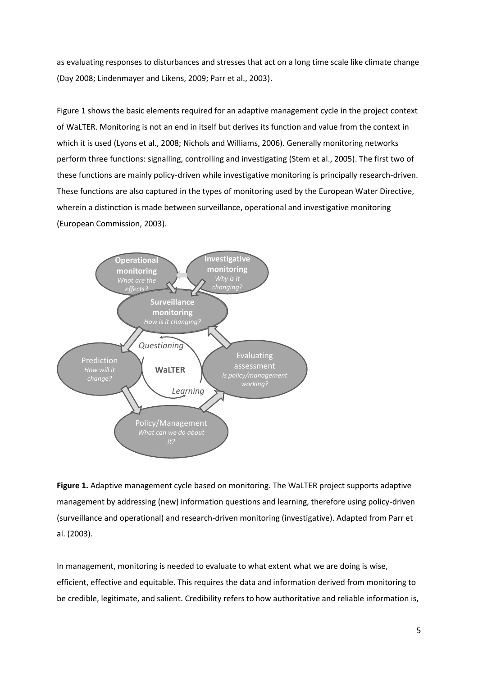as evaluating responses to disturbances and stresses that act on a long time scale like climate change (Day 2008; Lindenmayer and Likens, 2009; Parr et al., 2003).

Figure 1 shows the basic elements required for an adaptive management cycle in the project context of WaLTER. Monitoring is not an end in itself but derives its function and value from the context in which it is used (Lyons et al., 2008; Nichols and Williams, 2006). Generally monitoring networks perform three functions: signalling, controlling and investigating (Stem et al., 2005). The first two of these functions are mainly policy-driven while investigative monitoring is principally research-driven. These functions are also captured in the types of monitoring used by the European Water Directive, wherein a distinction is made between surveillance, operational and investigative monitoring (European Commission, 2003).



**Figure 1.** Adaptive management cycle based on monitoring. The WaLTER project supports adaptive management by addressing (new) information questions and learning, therefore using policy-driven (surveillance and operational) and research-driven monitoring (investigative). Adapted from Parr et al. (2003).

In management, monitoring is needed to evaluate to what extent what we are doing is wise, efficient, effective and equitable. This requires the data and information derived from monitoring to be credible, legitimate, and salient. Credibility refers to how authoritative and reliable information is,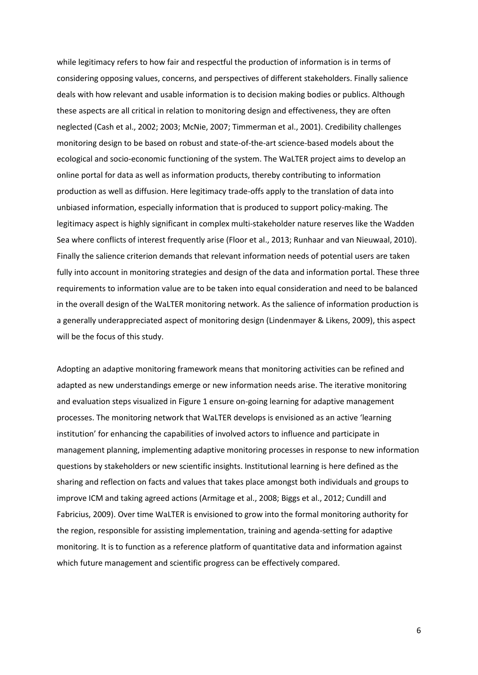while legitimacy refers to how fair and respectful the production of information is in terms of considering opposing values, concerns, and perspectives of different stakeholders. Finally salience deals with how relevant and usable information is to decision making bodies or publics. Although these aspects are all critical in relation to monitoring design and effectiveness, they are often neglected (Cash et al., 2002; 2003; McNie, 2007; Timmerman et al., 2001). Credibility challenges monitoring design to be based on robust and state-of-the-art science-based models about the ecological and socio-economic functioning of the system. The WaLTER project aims to develop an online portal for data as well as information products, thereby contributing to information production as well as diffusion. Here legitimacy trade-offs apply to the translation of data into unbiased information, especially information that is produced to support policy-making. The legitimacy aspect is highly significant in complex multi-stakeholder nature reserves like the Wadden Sea where conflicts of interest frequently arise (Floor et al., 2013; Runhaar and van Nieuwaal, 2010). Finally the salience criterion demands that relevant information needs of potential users are taken fully into account in monitoring strategies and design of the data and information portal. These three requirements to information value are to be taken into equal consideration and need to be balanced in the overall design of the WaLTER monitoring network. As the salience of information production is a generally underappreciated aspect of monitoring design (Lindenmayer & Likens, 2009), this aspect will be the focus of this study.

Adopting an adaptive monitoring framework means that monitoring activities can be refined and adapted as new understandings emerge or new information needs arise. The iterative monitoring and evaluation steps visualized in Figure 1 ensure on-going learning for adaptive management processes. The monitoring network that WaLTER develops is envisioned as an active 'learning institution' for enhancing the capabilities of involved actors to influence and participate in management planning, implementing adaptive monitoring processes in response to new information questions by stakeholders or new scientific insights. Institutional learning is here defined as the sharing and reflection on facts and values that takes place amongst both individuals and groups to improve ICM and taking agreed actions (Armitage et al., 2008; Biggs et al., 2012; Cundill and Fabricius, 2009). Over time WaLTER is envisioned to grow into the formal monitoring authority for the region, responsible for assisting implementation, training and agenda-setting for adaptive monitoring. It is to function as a reference platform of quantitative data and information against which future management and scientific progress can be effectively compared.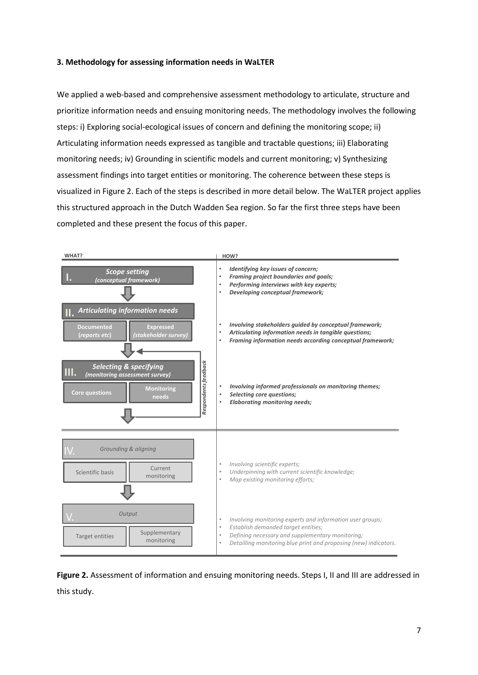# **3. Methodology for assessing information needs in WaLTER**

We applied a web-based and comprehensive assessment methodology to articulate, structure and prioritize information needs and ensuing monitoring needs. The methodology involves the following steps: i) Exploring social-ecological issues of concern and defining the monitoring scope; ii) Articulating information needs expressed as tangible and tractable questions; iii) Elaborating monitoring needs; iv) Grounding in scientific models and current monitoring; v) Synthesizing assessment findings into target entities or monitoring. The coherence between these steps is visualized in Figure 2. Each of the steps is described in more detail below. The WaLTER project applies this structured approach in the Dutch Wadden Sea region. So far the first three steps have been completed and these present the focus of this paper.



**Figure 2.** Assessment of information and ensuing monitoring needs. Steps I, II and III are addressed in this study.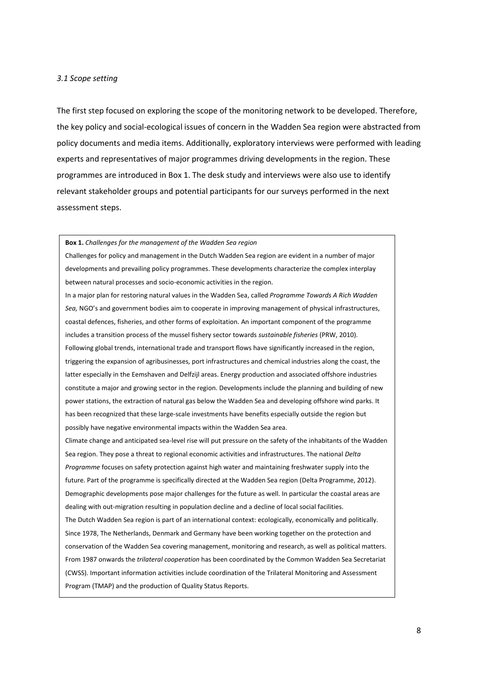#### *3.1 Scope setting*

The first step focused on exploring the scope of the monitoring network to be developed. Therefore, the key policy and social-ecological issues of concern in the Wadden Sea region were abstracted from policy documents and media items. Additionally, exploratory interviews were performed with leading experts and representatives of major programmes driving developments in the region. These programmes are introduced in Box 1. The desk study and interviews were also use to identify relevant stakeholder groups and potential participants for our surveys performed in the next assessment steps.

#### **Box 1.** *Challenges for the management of the Wadden Sea region*

Challenges for policy and management in the Dutch Wadden Sea region are evident in a number of major developments and prevailing policy programmes. These developments characterize the complex interplay between natural processes and socio-economic activities in the region.

In a major plan for restoring natural values in the Wadden Sea, called *Programme Towards A Rich Wadden Sea,* NGO's and government bodies aim to cooperate in improving management of physical infrastructures, coastal defences, fisheries, and other forms of exploitation. An important component of the programme includes a transition process of the mussel fishery sector towards *sustainable fisheries* (PRW, 2010). Following global trends, international trade and transport flows have significantly increased in the region, triggering the expansion of agribusinesses, port infrastructures and chemical industries along the coast, the latter especially in the Eemshaven and Delfzijl areas. Energy production and associated offshore industries constitute a major and growing sector in the region. Developments include the planning and building of new power stations, the extraction of natural gas below the Wadden Sea and developing offshore wind parks. It has been recognized that these large-scale investments have benefits especially outside the region but possibly have negative environmental impacts within the Wadden Sea area.

Climate change and anticipated sea-level rise will put pressure on the safety of the inhabitants of the Wadden Sea region. They pose a threat to regional economic activities and infrastructures. The national *Delta Programme* focuses on safety protection against high water and maintaining freshwater supply into the future. Part of the programme is specifically directed at the Wadden Sea region (Delta Programme, 2012). Demographic developments pose major challenges for the future as well. In particular the coastal areas are dealing with out-migration resulting in population decline and a decline of local social facilities. The Dutch Wadden Sea region is part of an international context: ecologically, economically and politically. Since 1978, The Netherlands, Denmark and Germany have been working together on the protection and conservation of the Wadden Sea covering management, monitoring and research, as well as political matters. From 1987 onwards the *trilateral cooperation* has been coordinated by the Common Wadden Sea Secretariat (CWSS). Important information activities include coordination of the Trilateral Monitoring and Assessment Program (TMAP) and the production of Quality Status Reports.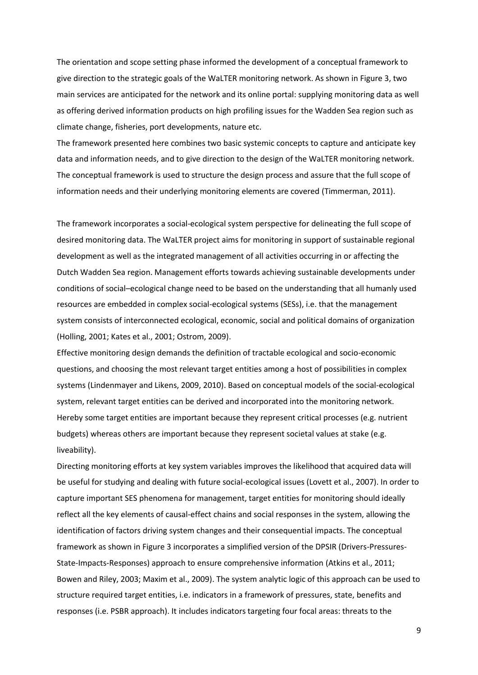The orientation and scope setting phase informed the development of a conceptual framework to give direction to the strategic goals of the WaLTER monitoring network. As shown in Figure 3, two main services are anticipated for the network and its online portal: supplying monitoring data as well as offering derived information products on high profiling issues for the Wadden Sea region such as climate change, fisheries, port developments, nature etc.

The framework presented here combines two basic systemic concepts to capture and anticipate key data and information needs, and to give direction to the design of the WaLTER monitoring network. The conceptual framework is used to structure the design process and assure that the full scope of information needs and their underlying monitoring elements are covered (Timmerman, 2011).

The framework incorporates a social-ecological system perspective for delineating the full scope of desired monitoring data. The WaLTER project aims for monitoring in support of sustainable regional development as well as the integrated management of all activities occurring in or affecting the Dutch Wadden Sea region. Management efforts towards achieving sustainable developments under conditions of social–ecological change need to be based on the understanding that all humanly used resources are embedded in complex social-ecological systems (SESs), i.e. that the management system consists of interconnected ecological, economic, social and political domains of organization (Holling, 2001; Kates et al., 2001; Ostrom, 2009).

Effective monitoring design demands the definition of tractable ecological and socio-economic questions, and choosing the most relevant target entities among a host of possibilities in complex systems (Lindenmayer and Likens, 2009, 2010). Based on conceptual models of the social-ecological system, relevant target entities can be derived and incorporated into the monitoring network. Hereby some target entities are important because they represent critical processes (e.g. nutrient budgets) whereas others are important because they represent societal values at stake (e.g. liveability).

Directing monitoring efforts at key system variables improves the likelihood that acquired data will be useful for studying and dealing with future social-ecological issues (Lovett et al., 2007). In order to capture important SES phenomena for management, target entities for monitoring should ideally reflect all the key elements of causal-effect chains and social responses in the system, allowing the identification of factors driving system changes and their consequential impacts. The conceptual framework as shown in Figure 3 incorporates a simplified version of the DPSIR (Drivers-Pressures-State-Impacts-Responses) approach to ensure comprehensive information (Atkins et al., 2011; Bowen and Riley, 2003; Maxim et al., 2009). The system analytic logic of this approach can be used to structure required target entities, i.e. indicators in a framework of pressures, state, benefits and responses (i.e. PSBR approach). It includes indicators targeting four focal areas: threats to the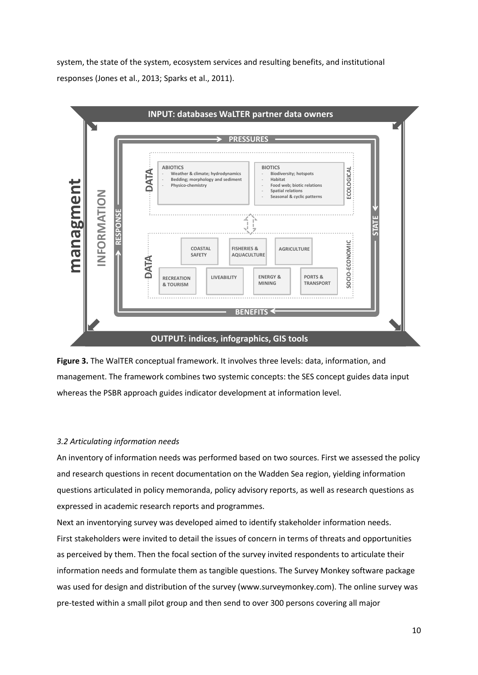system, the state of the system, ecosystem services and resulting benefits, and institutional responses (Jones et al., 2013; Sparks et al., 2011).



**Figure 3.** The WalTER conceptual framework. It involves three levels: data, information, and management. The framework combines two systemic concepts: the SES concept guides data input whereas the PSBR approach guides indicator development at information level.

# *3.2 Articulating information needs*

An inventory of information needs was performed based on two sources. First we assessed the policy and research questions in recent documentation on the Wadden Sea region, yielding information questions articulated in policy memoranda, policy advisory reports, as well as research questions as expressed in academic research reports and programmes.

Next an inventorying survey was developed aimed to identify stakeholder information needs. First stakeholders were invited to detail the issues of concern in terms of threats and opportunities as perceived by them. Then the focal section of the survey invited respondents to articulate their information needs and formulate them as tangible questions. The Survey Monkey software package was used for design and distribution of the survey [\(www.surveymonkey.com\)](http://www.surveymonkey.com/). The online survey was pre-tested within a small pilot group and then send to over 300 persons covering all major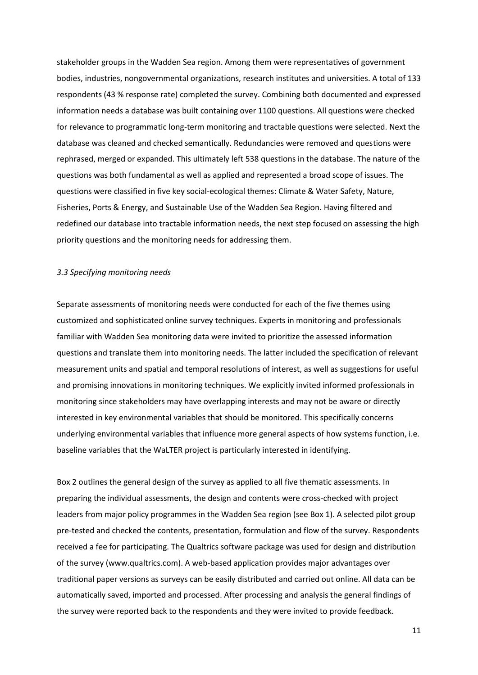stakeholder groups in the Wadden Sea region. Among them were representatives of government bodies, industries, nongovernmental organizations, research institutes and universities. A total of 133 respondents (43 % response rate) completed the survey. Combining both documented and expressed information needs a database was built containing over 1100 questions. All questions were checked for relevance to programmatic long-term monitoring and tractable questions were selected. Next the database was cleaned and checked semantically. Redundancies were removed and questions were rephrased, merged or expanded. This ultimately left 538 questions in the database. The nature of the questions was both fundamental as well as applied and represented a broad scope of issues. The questions were classified in five key social-ecological themes: Climate & Water Safety, Nature, Fisheries, Ports & Energy, and Sustainable Use of the Wadden Sea Region. Having filtered and redefined our database into tractable information needs, the next step focused on assessing the high priority questions and the monitoring needs for addressing them.

#### *3.3 Specifying monitoring needs*

Separate assessments of monitoring needs were conducted for each of the five themes using customized and sophisticated online survey techniques. Experts in monitoring and professionals familiar with Wadden Sea monitoring data were invited to prioritize the assessed information questions and translate them into monitoring needs. The latter included the specification of relevant measurement units and spatial and temporal resolutions of interest, as well as suggestions for useful and promising innovations in monitoring techniques. We explicitly invited informed professionals in monitoring since stakeholders may have overlapping interests and may not be aware or directly interested in key environmental variables that should be monitored. This specifically concerns underlying environmental variables that influence more general aspects of how systems function, i.e. baseline variables that the WaLTER project is particularly interested in identifying.

Box 2 outlines the general design of the survey as applied to all five thematic assessments. In preparing the individual assessments, the design and contents were cross-checked with project leaders from major policy programmes in the Wadden Sea region (see Box 1). A selected pilot group pre-tested and checked the contents, presentation, formulation and flow of the survey. Respondents received a fee for participating. The Qualtrics software package was used for design and distribution of the survey (www.qualtrics.com). A web-based application provides major advantages over traditional paper versions as surveys can be easily distributed and carried out online. All data can be automatically saved, imported and processed. After processing and analysis the general findings of the survey were reported back to the respondents and they were invited to provide feedback.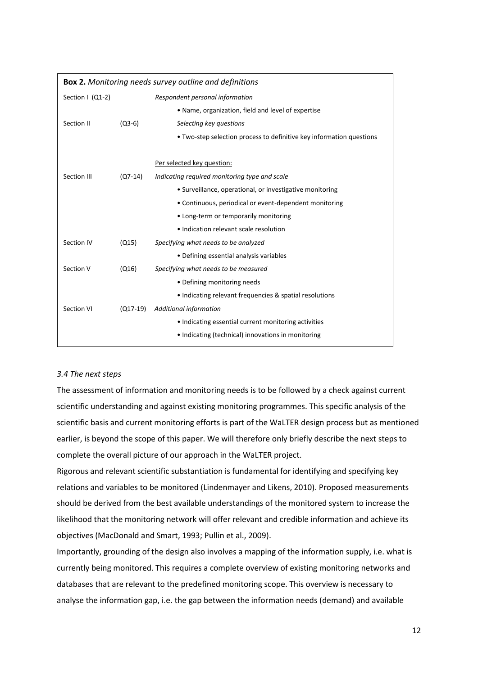| <b>Box 2.</b> Monitoring needs survey outline and definitions |           |                                                                      |  |  |
|---------------------------------------------------------------|-----------|----------------------------------------------------------------------|--|--|
| Section I (Q1-2)                                              |           | Respondent personal information                                      |  |  |
|                                                               |           | . Name, organization, field and level of expertise                   |  |  |
| Section II                                                    | $(Q3-6)$  | Selecting key questions                                              |  |  |
|                                                               |           | • Two-step selection process to definitive key information questions |  |  |
|                                                               |           |                                                                      |  |  |
|                                                               |           | Per selected key question:                                           |  |  |
| Section III                                                   | $(Q7-14)$ | Indicating required monitoring type and scale                        |  |  |
|                                                               |           | • Surveillance, operational, or investigative monitoring             |  |  |
|                                                               |           | • Continuous, periodical or event-dependent monitoring               |  |  |
|                                                               |           | • Long-term or temporarily monitoring                                |  |  |
|                                                               |           | • Indication relevant scale resolution                               |  |  |
| Section IV                                                    | (Q15)     | Specifying what needs to be analyzed                                 |  |  |
|                                                               |           | • Defining essential analysis variables                              |  |  |
| Section V                                                     | (Q16)     | Specifying what needs to be measured                                 |  |  |
|                                                               |           | • Defining monitoring needs                                          |  |  |
|                                                               |           | • Indicating relevant frequencies & spatial resolutions              |  |  |
| <b>Section VI</b>                                             | (Q17-19)  | Additional information                                               |  |  |
|                                                               |           | • Indicating essential current monitoring activities                 |  |  |
|                                                               |           | • Indicating (technical) innovations in monitoring                   |  |  |
|                                                               |           |                                                                      |  |  |

# *3.4 The next steps*

The assessment of information and monitoring needs is to be followed by a check against current scientific understanding and against existing monitoring programmes. This specific analysis of the scientific basis and current monitoring efforts is part of the WaLTER design process but as mentioned earlier, is beyond the scope of this paper. We will therefore only briefly describe the next steps to complete the overall picture of our approach in the WaLTER project.

Rigorous and relevant scientific substantiation is fundamental for identifying and specifying key relations and variables to be monitored (Lindenmayer and Likens, 2010). Proposed measurements should be derived from the best available understandings of the monitored system to increase the likelihood that the monitoring network will offer relevant and credible information and achieve its objectives (MacDonald and Smart, 1993; Pullin et al., 2009).

Importantly, grounding of the design also involves a mapping of the information supply, i.e. what is currently being monitored. This requires a complete overview of existing monitoring networks and databases that are relevant to the predefined monitoring scope. This overview is necessary to analyse the information gap, i.e. the gap between the information needs (demand) and available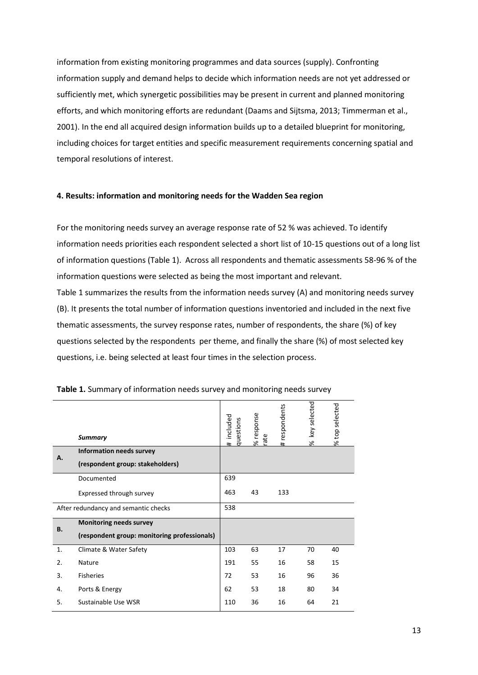information from existing monitoring programmes and data sources (supply). Confronting information supply and demand helps to decide which information needs are not yet addressed or sufficiently met, which synergetic possibilities may be present in current and planned monitoring efforts, and which monitoring efforts are redundant (Daams and Sijtsma, 2013; Timmerman et al., 2001). In the end all acquired design information builds up to a detailed blueprint for monitoring, including choices for target entities and specific measurement requirements concerning spatial and temporal resolutions of interest.

# **4. Results: information and monitoring needs for the Wadden Sea region**

For the monitoring needs survey an average response rate of 52 % was achieved. To identify information needs priorities each respondent selected a short list of 10-15 questions out of a long list of information questions (Table 1). Across all respondents and thematic assessments 58-96 % of the information questions were selected as being the most important and relevant. Table 1 summarizes the results from the information needs survey (A) and monitoring needs survey (B). It presents the total number of information questions inventoried and included in the next five thematic assessments, the survey response rates, number of respondents, the share (%) of key questions selected by the respondents per theme, and finally the share (%) of most selected key questions, i.e. being selected at least four times in the selection process.

|                                      | <b>Summary</b>                                               | included<br>questions<br># | % response<br>rate | respondents<br># | key selected<br>Se | % top selected |
|--------------------------------------|--------------------------------------------------------------|----------------------------|--------------------|------------------|--------------------|----------------|
| А.                                   | Information needs survey<br>(respondent group: stakeholders) |                            |                    |                  |                    |                |
|                                      | Documented                                                   | 639                        |                    |                  |                    |                |
|                                      | Expressed through survey                                     | 463                        | 43                 | 133              |                    |                |
| After redundancy and semantic checks |                                                              | 538                        |                    |                  |                    |                |
| <b>B.</b>                            | <b>Monitoring needs survey</b>                               |                            |                    |                  |                    |                |
|                                      | (respondent group: monitoring professionals)                 |                            |                    |                  |                    |                |
| 1.                                   | Climate & Water Safety                                       | 103                        | 63                 | 17               | 70                 | 40             |
| 2.                                   | Nature                                                       | 191                        | 55                 | 16               | 58                 | 15             |
| 3.                                   | Fisheries                                                    | 72                         | 53                 | 16               | 96                 | 36             |
| 4.                                   | Ports & Energy                                               | 62                         | 53                 | 18               | 80                 | 34             |
|                                      |                                                              |                            |                    |                  |                    |                |

|  |  |  | Table 1. Summary of information needs survey and monitoring needs survey |  |
|--|--|--|--------------------------------------------------------------------------|--|
|--|--|--|--------------------------------------------------------------------------|--|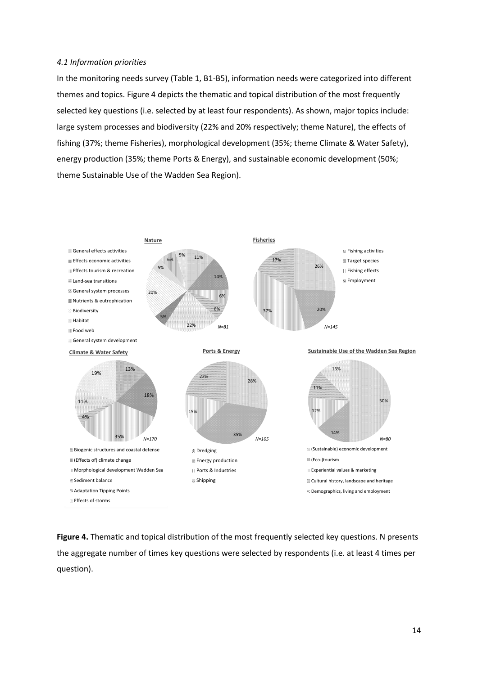# *4.1 Information priorities*

In the monitoring needs survey (Table 1, B1-B5), information needs were categorized into different themes and topics. Figure 4 depicts the thematic and topical distribution of the most frequently selected key questions (i.e. selected by at least four respondents). As shown, major topics include: large system processes and biodiversity (22% and 20% respectively; theme Nature), the effects of fishing (37%; theme Fisheries), morphological development (35%; theme Climate & Water Safety), energy production (35%; theme Ports & Energy), and sustainable economic development (50%; theme Sustainable Use of the Wadden Sea Region).



**Figure 4.** Thematic and topical distribution of the most frequently selected key questions. N presents the aggregate number of times key questions were selected by respondents (i.e. at least 4 times per question).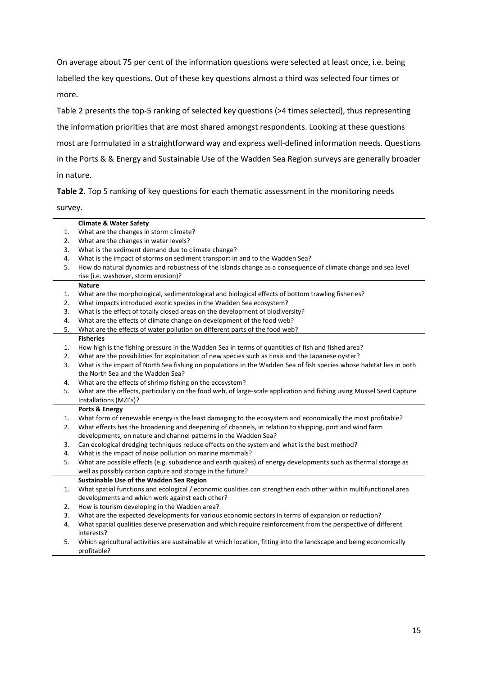On average about 75 per cent of the information questions were selected at least once, i.e. being labelled the key questions. Out of these key questions almost a third was selected four times or more.

Table 2 presents the top-5 ranking of selected key questions (>4 times selected), thus representing the information priorities that are most shared amongst respondents. Looking at these questions most are formulated in a straightforward way and express well-defined information needs. Questions in the Ports & & Energy and Sustainable Use of the Wadden Sea Region surveys are generally broader in nature.

**Table 2.** Top 5 ranking of key questions for each thematic assessment in the monitoring needs survey.

|    | <b>Climate &amp; Water Safety</b>                                                                                    |
|----|----------------------------------------------------------------------------------------------------------------------|
| 1. | What are the changes in storm climate?                                                                               |
| 2. | What are the changes in water levels?                                                                                |
| 3. | What is the sediment demand due to climate change?                                                                   |
| 4. | What is the impact of storms on sediment transport in and to the Wadden Sea?                                         |
| 5. | How do natural dynamics and robustness of the islands change as a consequence of climate change and sea level        |
|    | rise (i.e. washover, storm erosion)?                                                                                 |
|    | <b>Nature</b>                                                                                                        |
| 1. | What are the morphological, sedimentological and biological effects of bottom trawling fisheries?                    |
| 2. | What impacts introduced exotic species in the Wadden Sea ecosystem?                                                  |
| 3. | What is the effect of totally closed areas on the development of biodiversity?                                       |
| 4. | What are the effects of climate change on development of the food web?                                               |
| 5. | What are the effects of water pollution on different parts of the food web?                                          |
|    | <b>Fisheries</b>                                                                                                     |
| 1. | How high is the fishing pressure in the Wadden Sea in terms of quantities of fish and fished area?                   |
| 2. | What are the possibilities for exploitation of new species such as Ensis and the Japanese oyster?                    |
| 3. | What is the impact of North Sea fishing on populations in the Wadden Sea of fish species whose habitat lies in both  |
|    | the North Sea and the Wadden Sea?                                                                                    |
| 4. | What are the effects of shrimp fishing on the ecosystem?                                                             |
| 5. | What are the effects, particularly on the food web, of large-scale application and fishing using Mussel Seed Capture |
|    | Installations (MZI's)?                                                                                               |
|    | Ports & Energy                                                                                                       |
| 1. | What form of renewable energy is the least damaging to the ecosystem and economically the most profitable?           |
| 2. | What effects has the broadening and deepening of channels, in relation to shipping, port and wind farm               |
|    | developments, on nature and channel patterns in the Wadden Sea?                                                      |
| 3. | Can ecological dredging techniques reduce effects on the system and what is the best method?                         |
| 4. | What is the impact of noise pollution on marine mammals?                                                             |
| 5. | What are possible effects (e.g. subsidence and earth quakes) of energy developments such as thermal storage as       |
|    | well as possibly carbon capture and storage in the future?                                                           |
|    | Sustainable Use of the Wadden Sea Region                                                                             |
| 1. | What spatial functions and ecological / economic qualities can strengthen each other within multifunctional area     |
|    | developments and which work against each other?                                                                      |
| 2. | How is tourism developing in the Wadden area?                                                                        |
| 3. | What are the expected developments for various economic sectors in terms of expansion or reduction?                  |
| 4. | What spatial qualities deserve preservation and which require reinforcement from the perspective of different        |
|    | interests?                                                                                                           |
| 5. | Which agricultural activities are sustainable at which location, fitting into the landscape and being economically   |
|    | profitable?                                                                                                          |
|    |                                                                                                                      |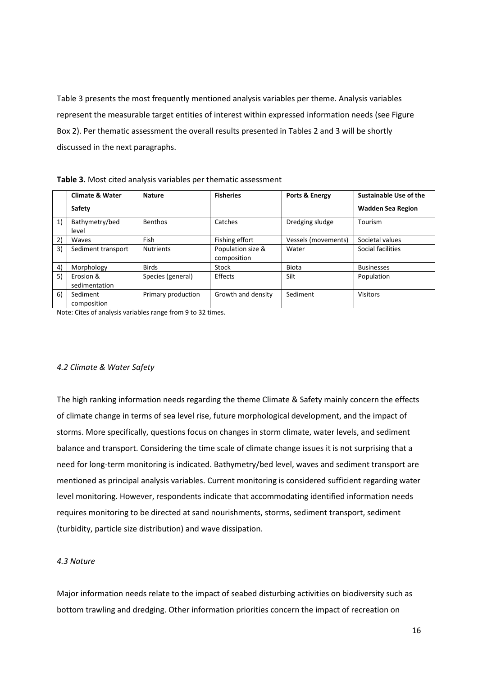Table 3 presents the most frequently mentioned analysis variables per theme. Analysis variables represent the measurable target entities of interest within expressed information needs (see Figure Box 2). Per thematic assessment the overall results presented in Tables 2 and 3 will be shortly discussed in the next paragraphs.

|    | <b>Climate &amp; Water</b> | <b>Nature</b>      | <b>Fisheries</b>                 | Ports & Energy      | Sustainable Use of the   |
|----|----------------------------|--------------------|----------------------------------|---------------------|--------------------------|
|    | Safety                     |                    |                                  |                     | <b>Wadden Sea Region</b> |
| 1) | Bathymetry/bed<br>level    | <b>Benthos</b>     | Catches                          | Dredging sludge     | Tourism                  |
| 2) | Waves                      | Fish               | Fishing effort                   | Vessels (movements) | Societal values          |
| 3) | Sediment transport         | <b>Nutrients</b>   | Population size &<br>composition | Water               | Social facilities        |
| 4) | Morphology                 | <b>Birds</b>       | Stock                            | <b>Biota</b>        | <b>Businesses</b>        |
| 5) | Erosion &<br>sedimentation | Species (general)  | Effects                          | Silt                | Population               |
| 6) | Sediment<br>composition    | Primary production | Growth and density               | Sediment            | <b>Visitors</b>          |

**Table 3.** Most cited analysis variables per thematic assessment

Note: Cites of analysis variables range from 9 to 32 times.

## *4.2 Climate & Water Safety*

The high ranking information needs regarding the theme Climate & Safety mainly concern the effects of climate change in terms of sea level rise, future morphological development, and the impact of storms. More specifically, questions focus on changes in storm climate, water levels, and sediment balance and transport. Considering the time scale of climate change issues it is not surprising that a need for long-term monitoring is indicated. Bathymetry/bed level, waves and sediment transport are mentioned as principal analysis variables. Current monitoring is considered sufficient regarding water level monitoring. However, respondents indicate that accommodating identified information needs requires monitoring to be directed at sand nourishments, storms, sediment transport, sediment (turbidity, particle size distribution) and wave dissipation.

## *4.3 Nature*

Major information needs relate to the impact of seabed disturbing activities on biodiversity such as bottom trawling and dredging. Other information priorities concern the impact of recreation on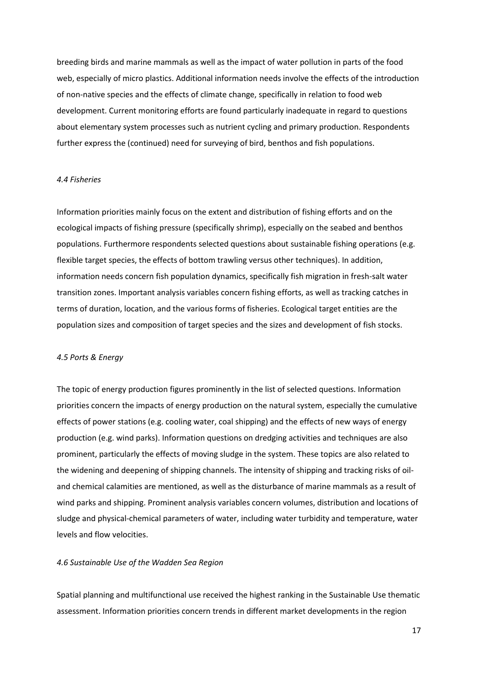breeding birds and marine mammals as well as the impact of water pollution in parts of the food web, especially of micro plastics. Additional information needs involve the effects of the introduction of non-native species and the effects of climate change, specifically in relation to food web development. Current monitoring efforts are found particularly inadequate in regard to questions about elementary system processes such as nutrient cycling and primary production. Respondents further express the (continued) need for surveying of bird, benthos and fish populations.

#### *4.4 Fisheries*

Information priorities mainly focus on the extent and distribution of fishing efforts and on the ecological impacts of fishing pressure (specifically shrimp), especially on the seabed and benthos populations. Furthermore respondents selected questions about sustainable fishing operations (e.g. flexible target species, the effects of bottom trawling versus other techniques). In addition, information needs concern fish population dynamics, specifically fish migration in fresh-salt water transition zones. Important analysis variables concern fishing efforts, as well as tracking catches in terms of duration, location, and the various forms of fisheries. Ecological target entities are the population sizes and composition of target species and the sizes and development of fish stocks.

## *4.5 Ports & Energy*

The topic of energy production figures prominently in the list of selected questions. Information priorities concern the impacts of energy production on the natural system, especially the cumulative effects of power stations (e.g. cooling water, coal shipping) and the effects of new ways of energy production (e.g. wind parks). Information questions on dredging activities and techniques are also prominent, particularly the effects of moving sludge in the system. These topics are also related to the widening and deepening of shipping channels. The intensity of shipping and tracking risks of oiland chemical calamities are mentioned, as well as the disturbance of marine mammals as a result of wind parks and shipping. Prominent analysis variables concern volumes, distribution and locations of sludge and physical-chemical parameters of water, including water turbidity and temperature, water levels and flow velocities.

## *4.6 Sustainable Use of the Wadden Sea Region*

Spatial planning and multifunctional use received the highest ranking in the Sustainable Use thematic assessment. Information priorities concern trends in different market developments in the region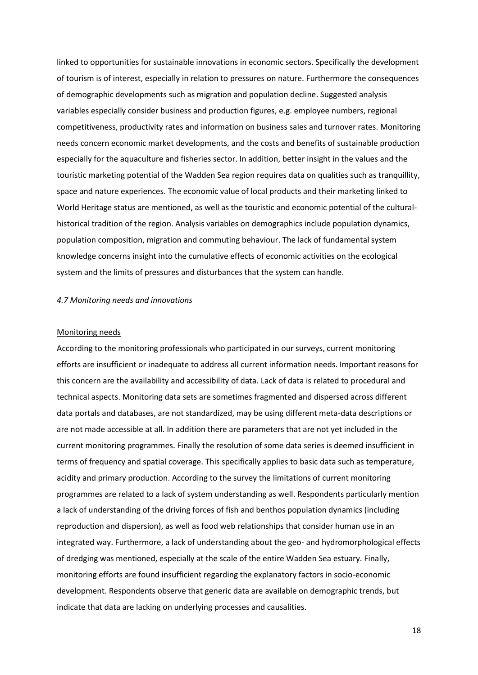linked to opportunities for sustainable innovations in economic sectors. Specifically the development of tourism is of interest, especially in relation to pressures on nature. Furthermore the consequences of demographic developments such as migration and population decline. Suggested analysis variables especially consider business and production figures, e.g. employee numbers, regional competitiveness, productivity rates and information on business sales and turnover rates. Monitoring needs concern economic market developments, and the costs and benefits of sustainable production especially for the aquaculture and fisheries sector. In addition, better insight in the values and the touristic marketing potential of the Wadden Sea region requires data on qualities such as tranquillity, space and nature experiences. The economic value of local products and their marketing linked to World Heritage status are mentioned, as well as the touristic and economic potential of the culturalhistorical tradition of the region. Analysis variables on demographics include population dynamics, population composition, migration and commuting behaviour. The lack of fundamental system knowledge concerns insight into the cumulative effects of economic activities on the ecological system and the limits of pressures and disturbances that the system can handle.

#### *4.7 Monitoring needs and innovations*

#### Monitoring needs

According to the monitoring professionals who participated in our surveys, current monitoring efforts are insufficient or inadequate to address all current information needs. Important reasons for this concern are the availability and accessibility of data. Lack of data is related to procedural and technical aspects. Monitoring data sets are sometimes fragmented and dispersed across different data portals and databases, are not standardized, may be using different meta-data descriptions or are not made accessible at all. In addition there are parameters that are not yet included in the current monitoring programmes. Finally the resolution of some data series is deemed insufficient in terms of frequency and spatial coverage. This specifically applies to basic data such as temperature, acidity and primary production. According to the survey the limitations of current monitoring programmes are related to a lack of system understanding as well. Respondents particularly mention a lack of understanding of the driving forces of fish and benthos population dynamics (including reproduction and dispersion), as well as food web relationships that consider human use in an integrated way. Furthermore, a lack of understanding about the geo- and hydromorphological effects of dredging was mentioned, especially at the scale of the entire Wadden Sea estuary. Finally, monitoring efforts are found insufficient regarding the explanatory factors in socio-economic development. Respondents observe that generic data are available on demographic trends, but indicate that data are lacking on underlying processes and causalities.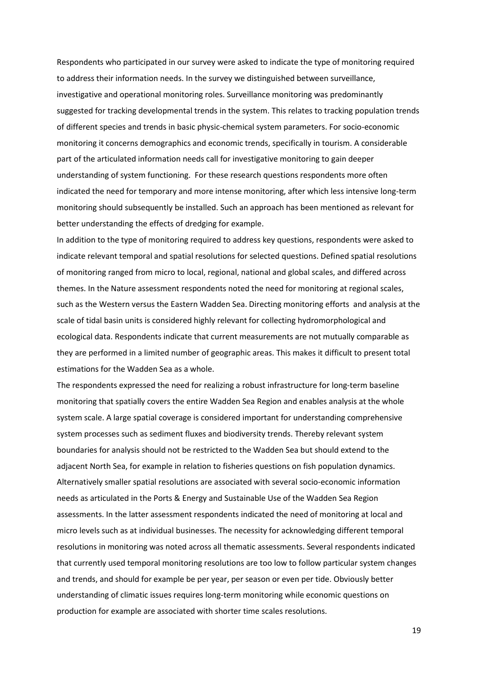Respondents who participated in our survey were asked to indicate the type of monitoring required to address their information needs. In the survey we distinguished between surveillance, investigative and operational monitoring roles. Surveillance monitoring was predominantly suggested for tracking developmental trends in the system. This relates to tracking population trends of different species and trends in basic physic-chemical system parameters. For socio-economic monitoring it concerns demographics and economic trends, specifically in tourism. A considerable part of the articulated information needs call for investigative monitoring to gain deeper understanding of system functioning. For these research questions respondents more often indicated the need for temporary and more intense monitoring, after which less intensive long-term monitoring should subsequently be installed. Such an approach has been mentioned as relevant for better understanding the effects of dredging for example.

In addition to the type of monitoring required to address key questions, respondents were asked to indicate relevant temporal and spatial resolutions for selected questions. Defined spatial resolutions of monitoring ranged from micro to local, regional, national and global scales, and differed across themes. In the Nature assessment respondents noted the need for monitoring at regional scales, such as the Western versus the Eastern Wadden Sea. Directing monitoring efforts and analysis at the scale of tidal basin units is considered highly relevant for collecting hydromorphological and ecological data. Respondents indicate that current measurements are not mutually comparable as they are performed in a limited number of geographic areas. This makes it difficult to present total estimations for the Wadden Sea as a whole.

The respondents expressed the need for realizing a robust infrastructure for long-term baseline monitoring that spatially covers the entire Wadden Sea Region and enables analysis at the whole system scale. A large spatial coverage is considered important for understanding comprehensive system processes such as sediment fluxes and biodiversity trends. Thereby relevant system boundaries for analysis should not be restricted to the Wadden Sea but should extend to the adjacent North Sea, for example in relation to fisheries questions on fish population dynamics. Alternatively smaller spatial resolutions are associated with several socio-economic information needs as articulated in the Ports & Energy and Sustainable Use of the Wadden Sea Region assessments. In the latter assessment respondents indicated the need of monitoring at local and micro levels such as at individual businesses. The necessity for acknowledging different temporal resolutions in monitoring was noted across all thematic assessments. Several respondents indicated that currently used temporal monitoring resolutions are too low to follow particular system changes and trends, and should for example be per year, per season or even per tide. Obviously better understanding of climatic issues requires long-term monitoring while economic questions on production for example are associated with shorter time scales resolutions.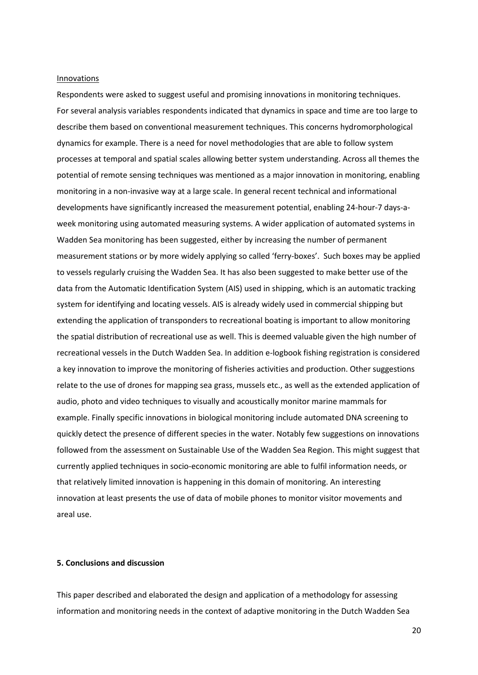#### Innovations

Respondents were asked to suggest useful and promising innovations in monitoring techniques. For several analysis variables respondents indicated that dynamics in space and time are too large to describe them based on conventional measurement techniques. This concerns hydromorphological dynamics for example. There is a need for novel methodologies that are able to follow system processes at temporal and spatial scales allowing better system understanding. Across all themes the potential of remote sensing techniques was mentioned as a major innovation in monitoring, enabling monitoring in a non-invasive way at a large scale. In general recent technical and informational developments have significantly increased the measurement potential, enabling 24-hour-7 days-aweek monitoring using automated measuring systems. A wider application of automated systems in Wadden Sea monitoring has been suggested, either by increasing the number of permanent measurement stations or by more widely applying so called 'ferry-boxes'. Such boxes may be applied to vessels regularly cruising the Wadden Sea. It has also been suggested to make better use of the data from the Automatic Identification System (AIS) used in shipping, which is an automatic tracking system for identifying and locating vessels. AIS is already widely used in commercial shipping but extending the application of transponders to recreational boating is important to allow monitoring the spatial distribution of recreational use as well. This is deemed valuable given the high number of recreational vessels in the Dutch Wadden Sea. In addition e-logbook fishing registration is considered a key innovation to improve the monitoring of fisheries activities and production. Other suggestions relate to the use of drones for mapping sea grass, mussels etc., as well as the extended application of audio, photo and video techniques to visually and acoustically monitor marine mammals for example. Finally specific innovations in biological monitoring include automated DNA screening to quickly detect the presence of different species in the water. Notably few suggestions on innovations followed from the assessment on Sustainable Use of the Wadden Sea Region. This might suggest that currently applied techniques in socio-economic monitoring are able to fulfil information needs, or that relatively limited innovation is happening in this domain of monitoring. An interesting innovation at least presents the use of data of mobile phones to monitor visitor movements and areal use.

# **5. Conclusions and discussion**

This paper described and elaborated the design and application of a methodology for assessing information and monitoring needs in the context of adaptive monitoring in the Dutch Wadden Sea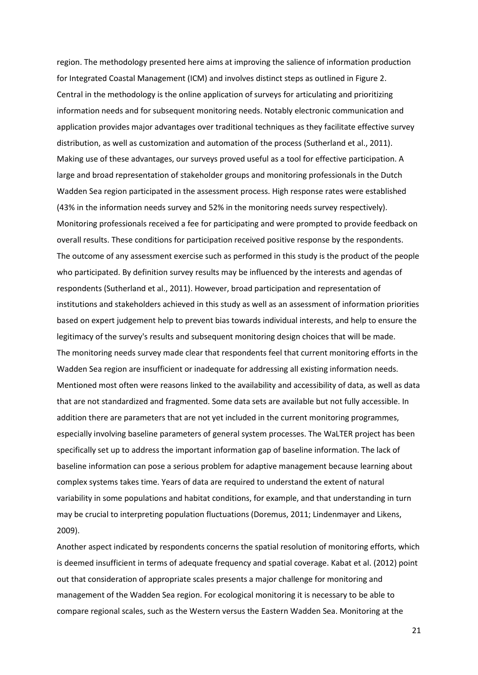region. The methodology presented here aims at improving the salience of information production for Integrated Coastal Management (ICM) and involves distinct steps as outlined in Figure 2. Central in the methodology is the online application of surveys for articulating and prioritizing information needs and for subsequent monitoring needs. Notably electronic communication and application provides major advantages over traditional techniques as they facilitate effective survey distribution, as well as customization and automation of the process (Sutherland et al., 2011). Making use of these advantages, our surveys proved useful as a tool for effective participation. A large and broad representation of stakeholder groups and monitoring professionals in the Dutch Wadden Sea region participated in the assessment process. High response rates were established (43% in the information needs survey and 52% in the monitoring needs survey respectively). Monitoring professionals received a fee for participating and were prompted to provide feedback on overall results. These conditions for participation received positive response by the respondents. The outcome of any assessment exercise such as performed in this study is the product of the people who participated. By definition survey results may be influenced by the interests and agendas of respondents (Sutherland et al., 2011). However, broad participation and representation of institutions and stakeholders achieved in this study as well as an assessment of information priorities based on expert judgement help to prevent bias towards individual interests, and help to ensure the legitimacy of the survey's results and subsequent monitoring design choices that will be made. The monitoring needs survey made clear that respondents feel that current monitoring efforts in the Wadden Sea region are insufficient or inadequate for addressing all existing information needs. Mentioned most often were reasons linked to the availability and accessibility of data, as well as data that are not standardized and fragmented. Some data sets are available but not fully accessible. In addition there are parameters that are not yet included in the current monitoring programmes, especially involving baseline parameters of general system processes. The WaLTER project has been specifically set up to address the important information gap of baseline information. The lack of baseline information can pose a serious problem for adaptive management because learning about complex systems takes time. Years of data are required to understand the extent of natural variability in some populations and habitat conditions, for example, and that understanding in turn may be crucial to interpreting population fluctuations (Doremus, 2011; Lindenmayer and Likens, 2009).

Another aspect indicated by respondents concerns the spatial resolution of monitoring efforts, which is deemed insufficient in terms of adequate frequency and spatial coverage. Kabat et al. (2012) point out that consideration of appropriate scales presents a major challenge for monitoring and management of the Wadden Sea region. For ecological monitoring it is necessary to be able to compare regional scales, such as the Western versus the Eastern Wadden Sea. Monitoring at the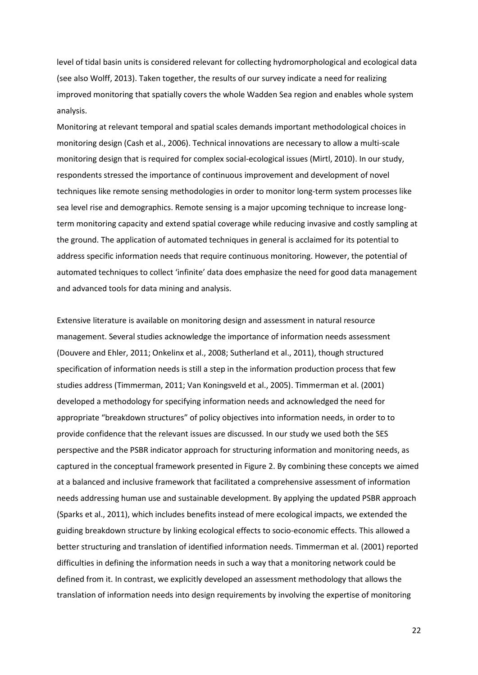level of tidal basin units is considered relevant for collecting hydromorphological and ecological data (see also Wolff, 2013). Taken together, the results of our survey indicate a need for realizing improved monitoring that spatially covers the whole Wadden Sea region and enables whole system analysis.

Monitoring at relevant temporal and spatial scales demands important methodological choices in monitoring design (Cash et al., 2006). Technical innovations are necessary to allow a multi-scale monitoring design that is required for complex social-ecological issues (Mirtl, 2010). In our study, respondents stressed the importance of continuous improvement and development of novel techniques like remote sensing methodologies in order to monitor long-term system processes like sea level rise and demographics. Remote sensing is a major upcoming technique to increase longterm monitoring capacity and extend spatial coverage while reducing invasive and costly sampling at the ground. The application of automated techniques in general is acclaimed for its potential to address specific information needs that require continuous monitoring. However, the potential of automated techniques to collect 'infinite' data does emphasize the need for good data management and advanced tools for data mining and analysis.

Extensive literature is available on monitoring design and assessment in natural resource management. Several studies acknowledge the importance of information needs assessment (Douvere and Ehler, 2011; Onkelinx et al., 2008; Sutherland et al., 2011), though structured specification of information needs is still a step in the information production process that few studies address (Timmerman, 2011; Van Koningsveld et al., 2005). Timmerman et al. (2001) developed a methodology for specifying information needs and acknowledged the need for appropriate "breakdown structures" of policy objectives into information needs, in order to to provide confidence that the relevant issues are discussed. In our study we used both the SES perspective and the PSBR indicator approach for structuring information and monitoring needs, as captured in the conceptual framework presented in Figure 2. By combining these concepts we aimed at a balanced and inclusive framework that facilitated a comprehensive assessment of information needs addressing human use and sustainable development. By applying the updated PSBR approach (Sparks et al., 2011), which includes benefits instead of mere ecological impacts, we extended the guiding breakdown structure by linking ecological effects to socio-economic effects. This allowed a better structuring and translation of identified information needs. Timmerman et al. (2001) reported difficulties in defining the information needs in such a way that a monitoring network could be defined from it. In contrast, we explicitly developed an assessment methodology that allows the translation of information needs into design requirements by involving the expertise of monitoring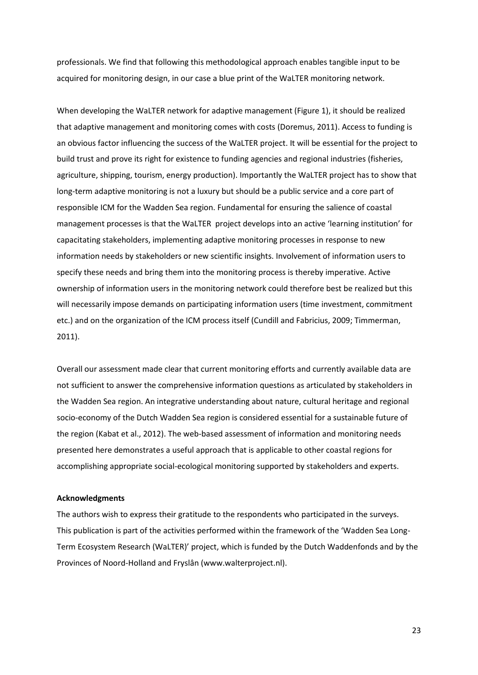professionals. We find that following this methodological approach enables tangible input to be acquired for monitoring design, in our case a blue print of the WaLTER monitoring network.

When developing the WaLTER network for adaptive management (Figure 1), it should be realized that adaptive management and monitoring comes with costs (Doremus, 2011). Access to funding is an obvious factor influencing the success of the WaLTER project. It will be essential for the project to build trust and prove its right for existence to funding agencies and regional industries (fisheries, agriculture, shipping, tourism, energy production). Importantly the WaLTER project has to show that long-term adaptive monitoring is not a luxury but should be a public service and a core part of responsible ICM for the Wadden Sea region. Fundamental for ensuring the salience of coastal management processes is that the WaLTER project develops into an active 'learning institution' for capacitating stakeholders, implementing adaptive monitoring processes in response to new information needs by stakeholders or new scientific insights. Involvement of information users to specify these needs and bring them into the monitoring process is thereby imperative. Active ownership of information users in the monitoring network could therefore best be realized but this will necessarily impose demands on participating information users (time investment, commitment etc.) and on the organization of the ICM process itself (Cundill and Fabricius, 2009; Timmerman, 2011).

Overall our assessment made clear that current monitoring efforts and currently available data are not sufficient to answer the comprehensive information questions as articulated by stakeholders in the Wadden Sea region. An integrative understanding about nature, cultural heritage and regional socio-economy of the Dutch Wadden Sea region is considered essential for a sustainable future of the region (Kabat et al., 2012). The web-based assessment of information and monitoring needs presented here demonstrates a useful approach that is applicable to other coastal regions for accomplishing appropriate social-ecological monitoring supported by stakeholders and experts.

# **Acknowledgments**

The authors wish to express their gratitude to the respondents who participated in the surveys. This publication is part of the activities performed within the framework of the 'Wadden Sea Long-Term Ecosystem Research (WaLTER)' project, which is funded by the Dutch Waddenfonds and by the Provinces of Noord-Holland and Fryslân [\(www.walterproject.nl\)](http://www.walterproject.nl/).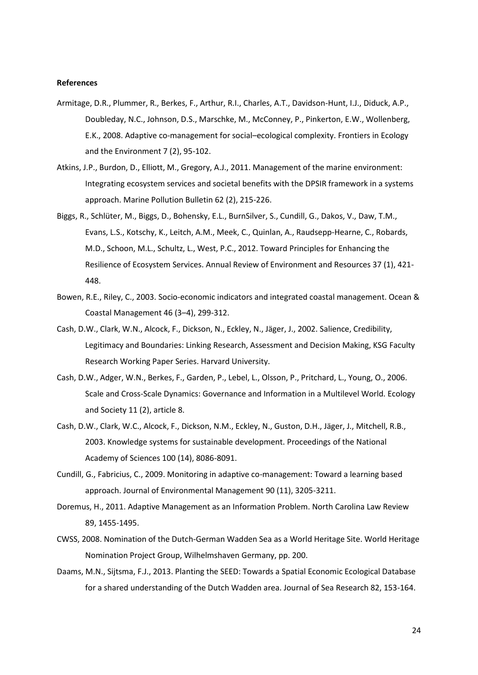#### **References**

- Armitage, D.R., Plummer, R., Berkes, F., Arthur, R.I., Charles, A.T., Davidson-Hunt, I.J., Diduck, A.P., Doubleday, N.C., Johnson, D.S., Marschke, M., McConney, P., Pinkerton, E.W., Wollenberg, E.K., 2008. Adaptive co-management for social–ecological complexity. Frontiers in Ecology and the Environment 7 (2), 95-102.
- Atkins, J.P., Burdon, D., Elliott, M., Gregory, A.J., 2011. Management of the marine environment: Integrating ecosystem services and societal benefits with the DPSIR framework in a systems approach. Marine Pollution Bulletin 62 (2), 215-226.
- Biggs, R., Schlüter, M., Biggs, D., Bohensky, E.L., BurnSilver, S., Cundill, G., Dakos, V., Daw, T.M., Evans, L.S., Kotschy, K., Leitch, A.M., Meek, C., Quinlan, A., Raudsepp-Hearne, C., Robards, M.D., Schoon, M.L., Schultz, L., West, P.C., 2012. Toward Principles for Enhancing the Resilience of Ecosystem Services. Annual Review of Environment and Resources 37 (1), 421- 448.
- Bowen, R.E., Riley, C., 2003. Socio-economic indicators and integrated coastal management. Ocean & Coastal Management 46 (3–4), 299-312.
- Cash, D.W., Clark, W.N., Alcock, F., Dickson, N., Eckley, N., Jäger, J., 2002. Salience, Credibility, Legitimacy and Boundaries: Linking Research, Assessment and Decision Making, KSG Faculty Research Working Paper Series. Harvard University.
- Cash, D.W., Adger, W.N., Berkes, F., Garden, P., Lebel, L., Olsson, P., Pritchard, L., Young, O., 2006. Scale and Cross-Scale Dynamics: Governance and Information in a Multilevel World. Ecology and Society 11 (2), article 8.
- Cash, D.W., Clark, W.C., Alcock, F., Dickson, N.M., Eckley, N., Guston, D.H., Jäger, J., Mitchell, R.B., 2003. Knowledge systems for sustainable development. Proceedings of the National Academy of Sciences 100 (14), 8086-8091.
- Cundill, G., Fabricius, C., 2009. Monitoring in adaptive co-management: Toward a learning based approach. Journal of Environmental Management 90 (11), 3205-3211.
- Doremus, H., 2011. Adaptive Management as an Information Problem. North Carolina Law Review 89, 1455-1495.
- CWSS, 2008. Nomination of the Dutch-German Wadden Sea as a World Heritage Site. World Heritage Nomination Project Group, Wilhelmshaven Germany, pp. 200.
- Daams, M.N., Sijtsma, F.J., 2013. Planting the SEED: Towards a Spatial Economic Ecological Database for a shared understanding of the Dutch Wadden area. Journal of Sea Research 82, 153-164.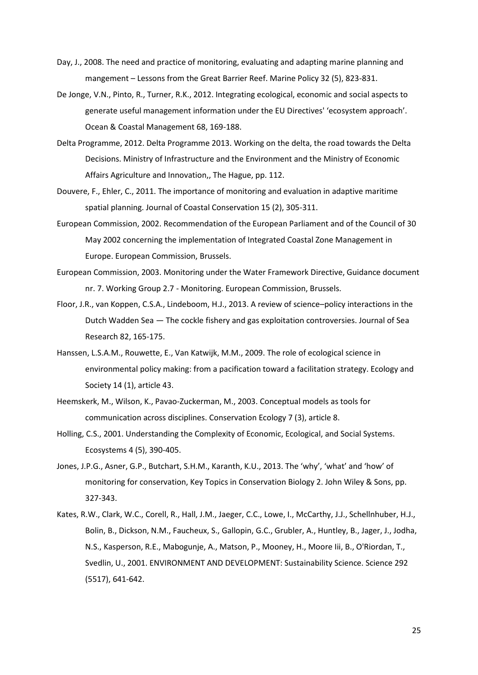- Day, J., 2008. The need and practice of monitoring, evaluating and adapting marine planning and mangement – Lessons from the Great Barrier Reef. Marine Policy 32 (5), 823-831.
- De Jonge, V.N., Pinto, R., Turner, R.K., 2012. Integrating ecological, economic and social aspects to generate useful management information under the EU Directives' 'ecosystem approach'. Ocean & Coastal Management 68, 169-188.
- Delta Programme, 2012. Delta Programme 2013. Working on the delta, the road towards the Delta Decisions. Ministry of Infrastructure and the Environment and the Ministry of Economic Affairs Agriculture and Innovation,, The Hague, pp. 112.
- Douvere, F., Ehler, C., 2011. The importance of monitoring and evaluation in adaptive maritime spatial planning. Journal of Coastal Conservation 15 (2), 305-311.
- European Commission, 2002. Recommendation of the European Parliament and of the Council of 30 May 2002 concerning the implementation of Integrated Coastal Zone Management in Europe. European Commission, Brussels.
- European Commission, 2003. Monitoring under the Water Framework Directive, Guidance document nr. 7. Working Group 2.7 - Monitoring. European Commission, Brussels.
- Floor, J.R., van Koppen, C.S.A., Lindeboom, H.J., 2013. A review of science–policy interactions in the Dutch Wadden Sea — The cockle fishery and gas exploitation controversies. Journal of Sea Research 82, 165-175.
- Hanssen, L.S.A.M., Rouwette, E., Van Katwijk, M.M., 2009. The role of ecological science in environmental policy making: from a pacification toward a facilitation strategy. Ecology and Society 14 (1), article 43.
- Heemskerk, M., Wilson, K., Pavao-Zuckerman, M., 2003. Conceptual models as tools for communication across disciplines. Conservation Ecology 7 (3), article 8.
- Holling, C.S., 2001. Understanding the Complexity of Economic, Ecological, and Social Systems. Ecosystems 4 (5), 390-405.
- Jones, J.P.G., Asner, G.P., Butchart, S.H.M., Karanth, K.U., 2013. The 'why', 'what' and 'how' of monitoring for conservation, Key Topics in Conservation Biology 2. John Wiley & Sons, pp. 327-343.
- Kates, R.W., Clark, W.C., Corell, R., Hall, J.M., Jaeger, C.C., Lowe, I., McCarthy, J.J., Schellnhuber, H.J., Bolin, B., Dickson, N.M., Faucheux, S., Gallopin, G.C., Grubler, A., Huntley, B., Jager, J., Jodha, N.S., Kasperson, R.E., Mabogunje, A., Matson, P., Mooney, H., Moore Iii, B., O'Riordan, T., Svedlin, U., 2001. ENVIRONMENT AND DEVELOPMENT: Sustainability Science. Science 292 (5517), 641-642.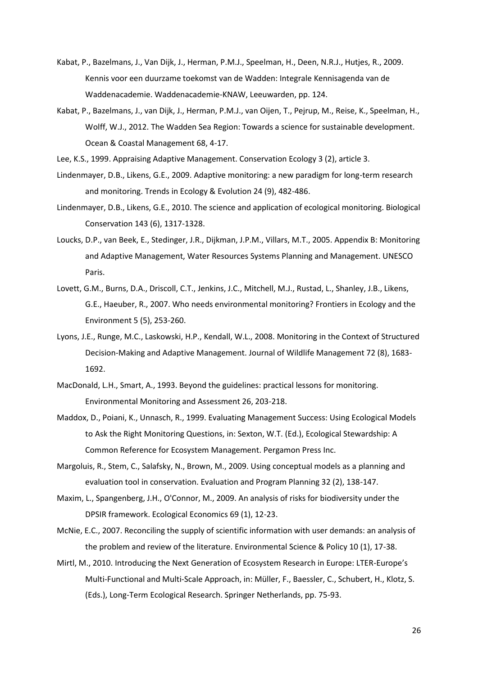- Kabat, P., Bazelmans, J., Van Dijk, J., Herman, P.M.J., Speelman, H., Deen, N.R.J., Hutjes, R., 2009. Kennis voor een duurzame toekomst van de Wadden: Integrale Kennisagenda van de Waddenacademie. Waddenacademie-KNAW, Leeuwarden, pp. 124.
- Kabat, P., Bazelmans, J., van Dijk, J., Herman, P.M.J., van Oijen, T., Pejrup, M., Reise, K., Speelman, H., Wolff, W.J., 2012. The Wadden Sea Region: Towards a science for sustainable development. Ocean & Coastal Management 68, 4-17.

Lee, K.S., 1999. Appraising Adaptive Management. Conservation Ecology 3 (2), article 3.

- Lindenmayer, D.B., Likens, G.E., 2009. Adaptive monitoring: a new paradigm for long-term research and monitoring. Trends in Ecology & Evolution 24 (9), 482-486.
- Lindenmayer, D.B., Likens, G.E., 2010. The science and application of ecological monitoring. Biological Conservation 143 (6), 1317-1328.
- Loucks, D.P., van Beek, E., Stedinger, J.R., Dijkman, J.P.M., Villars, M.T., 2005. Appendix B: Monitoring and Adaptive Management, Water Resources Systems Planning and Management. UNESCO Paris.
- Lovett, G.M., Burns, D.A., Driscoll, C.T., Jenkins, J.C., Mitchell, M.J., Rustad, L., Shanley, J.B., Likens, G.E., Haeuber, R., 2007. Who needs environmental monitoring? Frontiers in Ecology and the Environment 5 (5), 253-260.
- Lyons, J.E., Runge, M.C., Laskowski, H.P., Kendall, W.L., 2008. Monitoring in the Context of Structured Decision-Making and Adaptive Management. Journal of Wildlife Management 72 (8), 1683- 1692.
- MacDonald, L.H., Smart, A., 1993. Beyond the guidelines: practical lessons for monitoring. Environmental Monitoring and Assessment 26, 203-218.
- Maddox, D., Poiani, K., Unnasch, R., 1999. Evaluating Management Success: Using Ecological Models to Ask the Right Monitoring Questions, in: Sexton, W.T. (Ed.), Ecological Stewardship: A Common Reference for Ecosystem Management. Pergamon Press Inc.
- Margoluis, R., Stem, C., Salafsky, N., Brown, M., 2009. Using conceptual models as a planning and evaluation tool in conservation. Evaluation and Program Planning 32 (2), 138-147.
- Maxim, L., Spangenberg, J.H., O'Connor, M., 2009. An analysis of risks for biodiversity under the DPSIR framework. Ecological Economics 69 (1), 12-23.
- McNie, E.C., 2007. Reconciling the supply of scientific information with user demands: an analysis of the problem and review of the literature. Environmental Science & Policy 10 (1), 17-38.
- Mirtl, M., 2010. Introducing the Next Generation of Ecosystem Research in Europe: LTER-Europe's Multi-Functional and Multi-Scale Approach, in: Müller, F., Baessler, C., Schubert, H., Klotz, S. (Eds.), Long-Term Ecological Research. Springer Netherlands, pp. 75-93.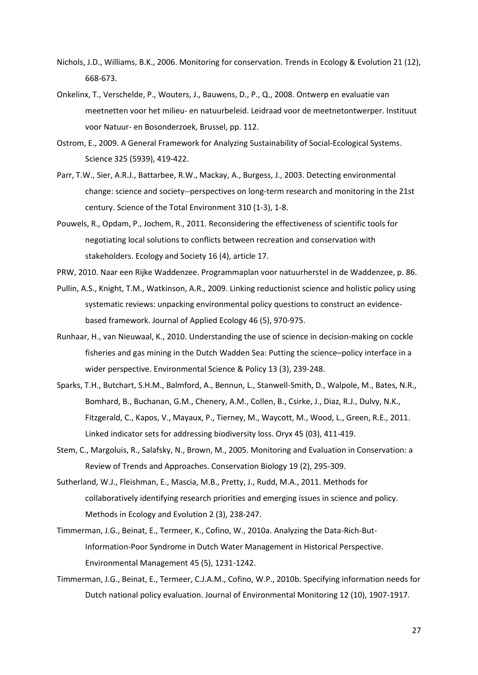- Nichols, J.D., Williams, B.K., 2006. Monitoring for conservation. Trends in Ecology & Evolution 21 (12), 668-673.
- Onkelinx, T., Verschelde, P., Wouters, J., Bauwens, D., P., Q., 2008. Ontwerp en evaluatie van meetnetten voor het milieu- en natuurbeleid. Leidraad voor de meetnetontwerper. Instituut voor Natuur- en Bosonderzoek, Brussel, pp. 112.
- Ostrom, E., 2009. A General Framework for Analyzing Sustainability of Social-Ecological Systems. Science 325 (5939), 419-422.
- Parr, T.W., Sier, A.R.J., Battarbee, R.W., Mackay, A., Burgess, J., 2003. Detecting environmental change: science and society--perspectives on long-term research and monitoring in the 21st century. Science of the Total Environment 310 (1-3), 1-8.
- Pouwels, R., Opdam, P., Jochem, R., 2011. Reconsidering the effectiveness of scientific tools for negotiating local solutions to conflicts between recreation and conservation with stakeholders. Ecology and Society 16 (4), article 17.
- PRW, 2010. Naar een Rijke Waddenzee. Programmaplan voor natuurherstel in de Waddenzee, p. 86.
- Pullin, A.S., Knight, T.M., Watkinson, A.R., 2009. Linking reductionist science and holistic policy using systematic reviews: unpacking environmental policy questions to construct an evidencebased framework. Journal of Applied Ecology 46 (5), 970-975.
- Runhaar, H., van Nieuwaal, K., 2010. Understanding the use of science in decision-making on cockle fisheries and gas mining in the Dutch Wadden Sea: Putting the science–policy interface in a wider perspective. Environmental Science & Policy 13 (3), 239-248.
- Sparks, T.H., Butchart, S.H.M., Balmford, A., Bennun, L., Stanwell-Smith, D., Walpole, M., Bates, N.R., Bomhard, B., Buchanan, G.M., Chenery, A.M., Collen, B., Csirke, J., Diaz, R.J., Dulvy, N.K., Fitzgerald, C., Kapos, V., Mayaux, P., Tierney, M., Waycott, M., Wood, L., Green, R.E., 2011. Linked indicator sets for addressing biodiversity loss. Oryx 45 (03), 411-419.
- Stem, C., Margoluis, R., Salafsky, N., Brown, M., 2005. Monitoring and Evaluation in Conservation: a Review of Trends and Approaches. Conservation Biology 19 (2), 295-309.
- Sutherland, W.J., Fleishman, E., Mascia, M.B., Pretty, J., Rudd, M.A., 2011. Methods for collaboratively identifying research priorities and emerging issues in science and policy. Methods in Ecology and Evolution 2 (3), 238-247.
- Timmerman, J.G., Beinat, E., Termeer, K., Cofino, W., 2010a. Analyzing the Data-Rich-But-Information-Poor Syndrome in Dutch Water Management in Historical Perspective. Environmental Management 45 (5), 1231-1242.
- Timmerman, J.G., Beinat, E., Termeer, C.J.A.M., Cofino, W.P., 2010b. Specifying information needs for Dutch national policy evaluation. Journal of Environmental Monitoring 12 (10), 1907-1917.